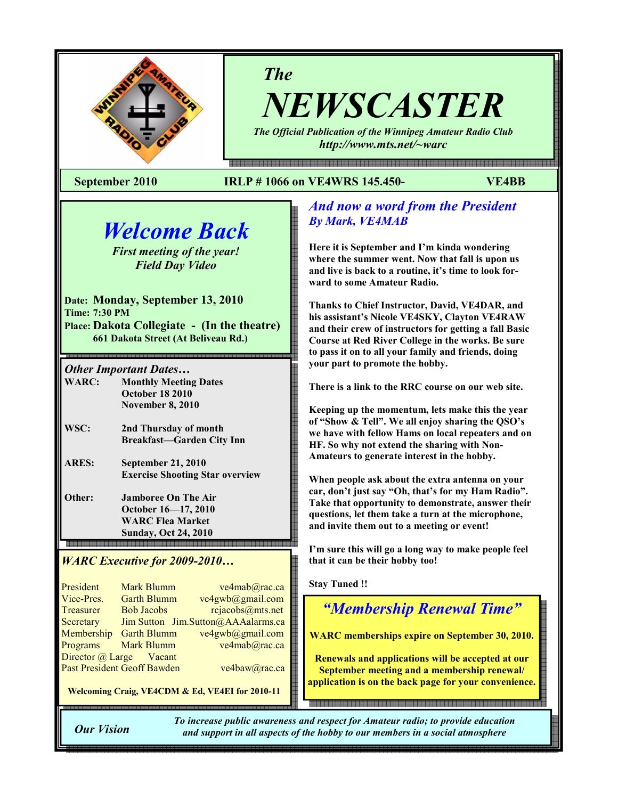

The

NEWSCASTER The Official Publication of the Winnipeg Amateur Radio Club

http://www.mts.net/~warc

#### September 2010 IRLP # 1066 on VE4WRS 145.450- VE4BB

# Welcome Back

First meeting of the year! Field Day Video

Date: Monday, September 13, 2010 Time: 7:30 PM Place: Dakota Collegiate - (In the theatre) 661 Dakota Street (At Beliveau Rd.)

Other Important Dates…

֚֬

WARC: Monthly Meeting Dates October 18 2010 November 8, 2010

- WSC: 2nd Thursday of month Breakfast—Garden City Inn
- ARES: September 21, 2010 Exercise Shooting Star overview
- Other: Jamboree On The Air October 16—17, 2010 WARC Flea Market **Sunday, Oct 24, 2010**

## WARC Executive for 2009-2010…

| President  | <b>Mark Blumm</b>                  | ve4mab@rac.ca                      |
|------------|------------------------------------|------------------------------------|
| Vice-Pres. | <b>Garth Blumm</b>                 | ve4gwb@gmail.com                   |
| Treasurer  | <b>Bob Jacobs</b>                  | rcjacobs@mts.net                   |
| Secretary  |                                    | Jim Sutton Jim.Sutton@AAAalarms.ca |
| Membership | <b>Garth Blumm</b>                 | ve4gwb@gmail.com                   |
| Programs   | <b>Mark Blumm</b>                  | ve4mab@rac.ca                      |
|            | Director @ Large Vacant            |                                    |
|            | <b>Past President Geoff Bawden</b> | ve4baw@rac.ca                      |

Welcoming Craig, VE4CDM & Ed, VE4EI for 2010-11

## And now a word from the President By Mark, VE4MAB

Here it is September and I'm kinda wondering where the summer went. Now that fall is upon us and live is back to a routine, it's time to look forward to some Amateur Radio.

Thanks to Chief Instructor, David, VE4DAR, and his assistant's Nicole VE4SKY, Clayton VE4RAW and their crew of instructors for getting a fall Basic Course at Red River College in the works. Be sure to pass it on to all your family and friends, doing your part to promote the hobby.

There is a link to the RRC course on our web site.

Keeping up the momentum, lets make this the year of "Show & Tell". We all enjoy sharing the QSO's we have with fellow Hams on local repeaters and on HF. So why not extend the sharing with Non-Amateurs to generate interest in the hobby.

When people ask about the extra antenna on your car, don't just say "Oh, that's for my Ham Radio". Take that opportunity to demonstrate, answer their questions, let them take a turn at the microphone, and invite them out to a meeting or event!

I'm sure this will go a long way to make people feel that it can be their hobby too!

Stay Tuned !!

## "Membership Renewal Time"

WARC memberships expire on September 30, 2010.

Renewals and applications will be accepted at our September meeting and a membership renewal/ application is on the back page for your convenience.

Our Vision

To increase public awareness and respect for Amateur radio; to provide education and support in all aspects of the hobby to our members in a social atmosphere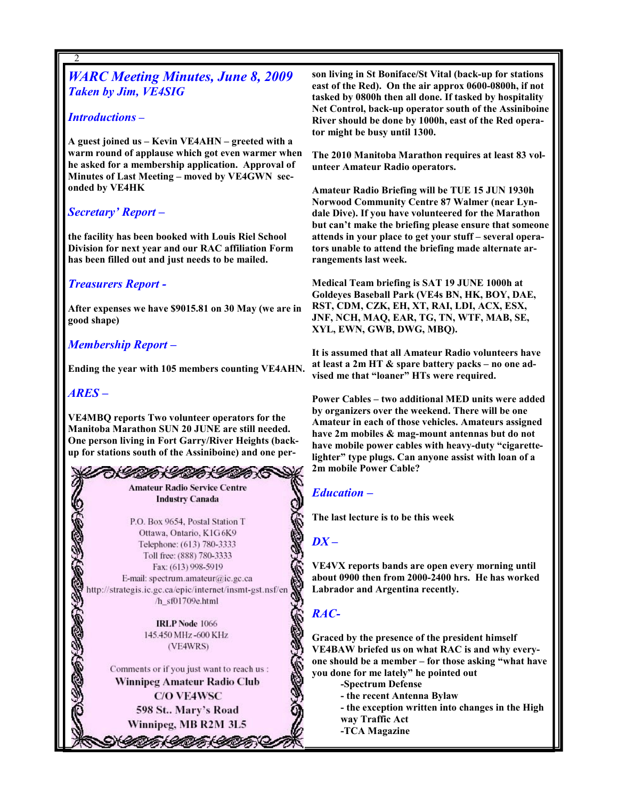## WARC Meeting Minutes, June 8, 2009 Taken by Jim, VE4SIG

#### Introductions –

2

A guest joined us – Kevin VE4AHN – greeted with a warm round of applause which got even warmer when he asked for a membership application. Approval of Minutes of Last Meeting – moved by VE4GWN seconded by VE4HK

## Secretary' Report –

the facility has been booked with Louis Riel School Division for next year and our RAC affiliation Form has been filled out and just needs to be mailed.

#### Treasurers Report -

After expenses we have \$9015.81 on 30 May (we are in good shape)

## Membership Report –

Ending the year with 105 members counting VE4AHN.

#### ARES –

2

VE4MBQ reports Two volunteer operators for the Manitoba Marathon SUN 20 JUNE are still needed. One person living in Fort Garry/River Heights (backup for stations south of the Assiniboine) and one per-



**Amateur Radio Service Centre Industry Canada** 

P.O. Box 9654, Postal Station T Ottawa, Ontario, K1G6K9 Telephone: (613) 780-3333 Toll free: (888) 780-3333 Fax: (613) 998-5919 E-mail: spectrum.amateur@ic.gc.ca http://strategis.ic.gc.ca/epic/internet/insmt-gst.nsf/en /h sf01709e.html

> **IRLP Node 1066** 145.450 MHz-600 KHz (VE4WRS)

Comments or if you just want to reach us : Winnipeg Amateur Radio Club **C/O VE4WSC** 598 St., Mary's Road Winnipeg, MB R2M 3L5

うくのかくのかくりつ

son living in St Boniface/St Vital (back-up for stations east of the Red). On the air approx 0600-0800h, if not tasked by 0800h then all done. If tasked by hospitality Net Control, back-up operator south of the Assiniboine River should be done by 1000h, east of the Red operator might be busy until 1300.

The 2010 Manitoba Marathon requires at least 83 volunteer Amateur Radio operators.

Amateur Radio Briefing will be TUE 15 JUN 1930h Norwood Community Centre 87 Walmer (near Lyndale Dive). If you have volunteered for the Marathon but can't make the briefing please ensure that someone attends in your place to get your stuff – several operators unable to attend the briefing made alternate arrangements last week.

Medical Team briefing is SAT 19 JUNE 1000h at Goldeyes Baseball Park (VE4s BN, HK, BOY, DAE, RST, CDM, CZK, EH, XT, RAI, LDI, ACX, ESX, JNF, NCH, MAQ, EAR, TG, TN, WTF, MAB, SE, XYL, EWN, GWB, DWG, MBQ).

It is assumed that all Amateur Radio volunteers have at least a 2m HT & spare battery packs – no one advised me that "loaner" HTs were required.

Power Cables – two additional MED units were added by organizers over the weekend. There will be one Amateur in each of those vehicles. Amateurs assigned have 2m mobiles & mag-mount antennas but do not have mobile power cables with heavy-duty "cigarettelighter" type plugs. Can anyone assist with loan of a 2m mobile Power Cable?

## Education –

The last lecture is to be this week

## $DX -$

VE4VX reports bands are open every morning until about 0900 then from 2000-2400 hrs. He has worked Labrador and Argentina recently.

## RAC-

Graced by the presence of the president himself VE4BAW briefed us on what RAC is and why everyone should be a member – for those asking "what have you done for me lately" he pointed out

-Spectrum Defense

- the recent Antenna Bylaw
- the exception written into changes in the High
- way Traffic Act
- -TCA Magazine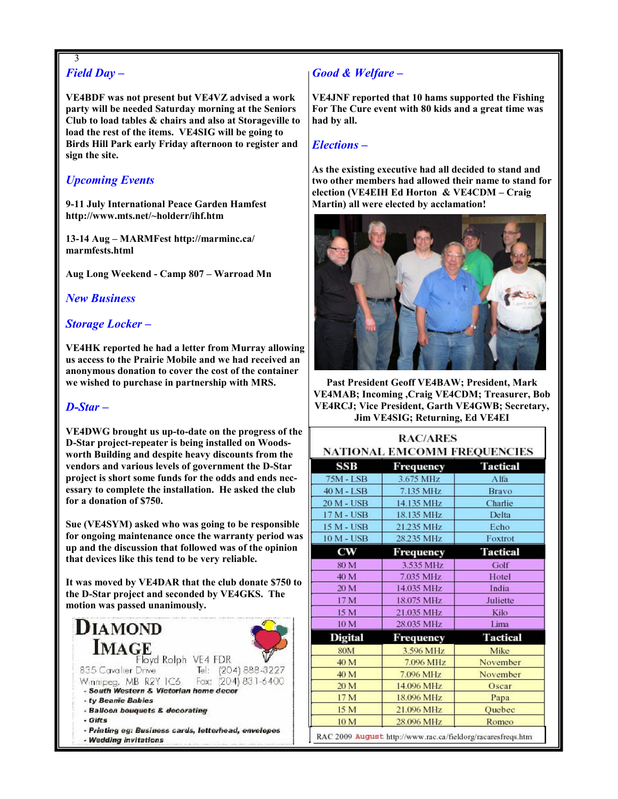#### 3 Field Day –

VE4BDF was not present but VE4VZ advised a work party will be needed Saturday morning at the Seniors Club to load tables & chairs and also at Storageville to load the rest of the items. VE4SIG will be going to Birds Hill Park early Friday afternoon to register and sign the site.

## Upcoming Events

9-11 July International Peace Garden Hamfest http://www.mts.net/~holderr/ihf.htm

13-14 Aug – MARMFest http://marminc.ca/ marmfests.html

Aug Long Weekend - Camp 807 – Warroad Mn

#### New Business

#### Storage Locker –

VE4HK reported he had a letter from Murray allowing us access to the Prairie Mobile and we had received an anonymous donation to cover the cost of the container we wished to purchase in partnership with MRS.

#### D-Star –

VE4DWG brought us up-to-date on the progress of the D-Star project-repeater is being installed on Woodsworth Building and despite heavy discounts from the vendors and various levels of government the D-Star project is short some funds for the odds and ends necessary to complete the installation. He asked the club for a donation of \$750.

Sue (VE4SYM) asked who was going to be responsible for ongoing maintenance once the warranty period was up and the discussion that followed was of the opinion that devices like this tend to be very reliable.

It was moved by VE4DAR that the club donate \$750 to the D-Star project and seconded by VE4GKS. The motion was passed unanimously.



## Good & Welfare –

VE4JNF reported that 10 hams supported the Fishing For The Cure event with 80 kids and a great time was had by all.

#### Elections –

As the existing executive had all decided to stand and two other members had allowed their name to stand for election (VE4EIH Ed Horton & VE4CDM – Craig Martin) all were elected by acclamation!



Past President Geoff VE4BAW; President, Mark VE4MAB; Incoming ,Craig VE4CDM; Treasurer, Bob VE4RCJ; Vice President, Garth VE4GWB; Secretary, Jim VE4SIG; Returning, Ed VE4EI

| <b>RAC/ARES</b>                                                           |            |                 |  |  |  |  |
|---------------------------------------------------------------------------|------------|-----------------|--|--|--|--|
| <b>NATIONAL EMCOMM FREQUENCIES</b><br>SSB<br><b>Tactical</b><br>Frequency |            |                 |  |  |  |  |
| 75M - LSB                                                                 | 3.675 MHz  | Alfa            |  |  |  |  |
| 40 M - LSB                                                                | 7.135 MHz  | Bravo           |  |  |  |  |
| 20 M - USB                                                                | 14.135 MHz | Charlie         |  |  |  |  |
| $17M - USB$                                                               | 18.135 MHz | Delta           |  |  |  |  |
| 15 M - USB                                                                | 21.235 MHz | Echo            |  |  |  |  |
| <b>10 M - USB</b>                                                         | 28.235 MHz | Foxtrot         |  |  |  |  |
| $_{\rm cw}$                                                               | Frequency  | <b>Tactical</b> |  |  |  |  |
| 80 M                                                                      | 3.535 MHz  | Golf            |  |  |  |  |
| 40 M                                                                      | 7.035 MHz  | Hotel           |  |  |  |  |
| 20 M                                                                      | 14.035 MHz | India           |  |  |  |  |
| 17 M                                                                      | 18.075 MHz | Juliette        |  |  |  |  |
| 15 M                                                                      | 21.035 MHz | Kilo            |  |  |  |  |
| 10 M                                                                      | 28.035 MHz | Lima            |  |  |  |  |
| <b>Digital</b>                                                            | Frequency  | <b>Tactical</b> |  |  |  |  |
| <b>80M</b>                                                                | 3.596 MHz  | Mike            |  |  |  |  |
| 40 M                                                                      | 7.096 MHz  | November        |  |  |  |  |
| 40 M                                                                      | 7.096 MHz  | November        |  |  |  |  |
| 20 M                                                                      | 14.096 MHz | Oscar           |  |  |  |  |
| 17 M                                                                      | 18.096 MHz | Papa            |  |  |  |  |
| 15 M                                                                      | 21.096 MHz | Quebec          |  |  |  |  |
| 10 M                                                                      | 28.096 MHz | Romeo           |  |  |  |  |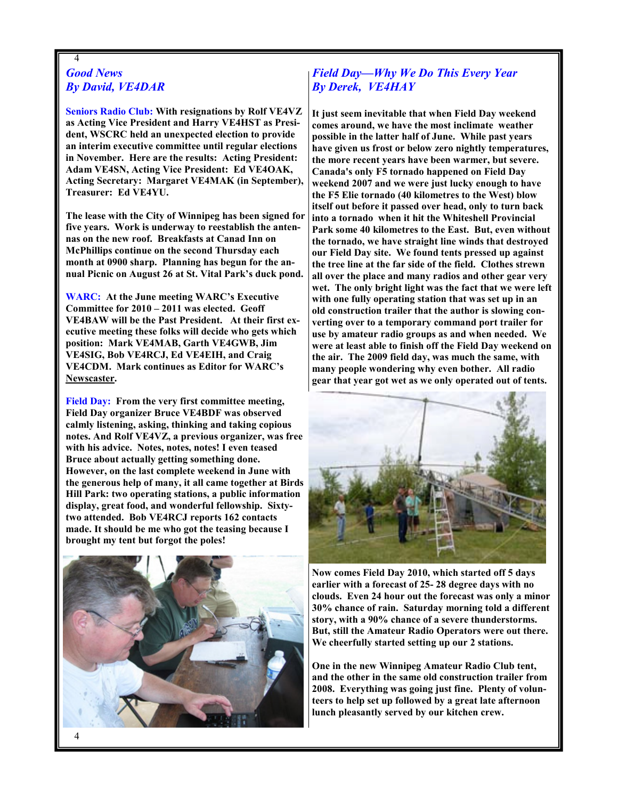#### 4 Good News By David, VE4DAR

Seniors Radio Club: With resignations by Rolf VE4VZ as Acting Vice President and Harry VE4HST as President, WSCRC held an unexpected election to provide an interim executive committee until regular elections in November. Here are the results: Acting President: Adam VE4SN, Acting Vice President: Ed VE4OAK, Acting Secretary: Margaret VE4MAK (in September), Treasurer: Ed VE4YU.

The lease with the City of Winnipeg has been signed for five years. Work is underway to reestablish the antennas on the new roof. Breakfasts at Canad Inn on McPhillips continue on the second Thursday each month at 0900 sharp. Planning has begun for the annual Picnic on August 26 at St. Vital Park's duck pond.

WARC: At the June meeting WARC's Executive Committee for 2010 – 2011 was elected. Geoff VE4BAW will be the Past President. At their first executive meeting these folks will decide who gets which position: Mark VE4MAB, Garth VE4GWB, Jim VE4SIG, Bob VE4RCJ, Ed VE4EIH, and Craig VE4CDM. Mark continues as Editor for WARC's Newscaster.

Field Day: From the very first committee meeting, Field Day organizer Bruce VE4BDF was observed calmly listening, asking, thinking and taking copious notes. And Rolf VE4VZ, a previous organizer, was free with his advice. Notes, notes, notes! I even teased Bruce about actually getting something done. However, on the last complete weekend in June with the generous help of many, it all came together at Birds Hill Park: two operating stations, a public information display, great food, and wonderful fellowship. Sixtytwo attended. Bob VE4RCJ reports 162 contacts made. It should be me who got the teasing because I brought my tent but forgot the poles!



## Field Day—Why We Do This Every Year By Derek, VE4HAY

It just seem inevitable that when Field Day weekend comes around, we have the most inclimate weather possible in the latter half of June. While past years have given us frost or below zero nightly temperatures, the more recent years have been warmer, but severe. Canada's only F5 tornado happened on Field Day weekend 2007 and we were just lucky enough to have the F5 Elie tornado (40 kilometres to the West) blow itself out before it passed over head, only to turn back into a tornado when it hit the Whiteshell Provincial Park some 40 kilometres to the East. But, even without the tornado, we have straight line winds that destroyed our Field Day site. We found tents pressed up against the tree line at the far side of the field. Clothes strewn all over the place and many radios and other gear very wet. The only bright light was the fact that we were left with one fully operating station that was set up in an old construction trailer that the author is slowing converting over to a temporary command port trailer for use by amateur radio groups as and when needed. We were at least able to finish off the Field Day weekend on the air. The 2009 field day, was much the same, with many people wondering why even bother. All radio gear that year got wet as we only operated out of tents.



Now comes Field Day 2010, which started off 5 days earlier with a forecast of 25- 28 degree days with no clouds. Even 24 hour out the forecast was only a minor 30% chance of rain. Saturday morning told a different story, with a 90% chance of a severe thunderstorms. But, still the Amateur Radio Operators were out there. We cheerfully started setting up our 2 stations.

One in the new Winnipeg Amateur Radio Club tent, and the other in the same old construction trailer from 2008. Everything was going just fine. Plenty of volunteers to help set up followed by a great late afternoon lunch pleasantly served by our kitchen crew.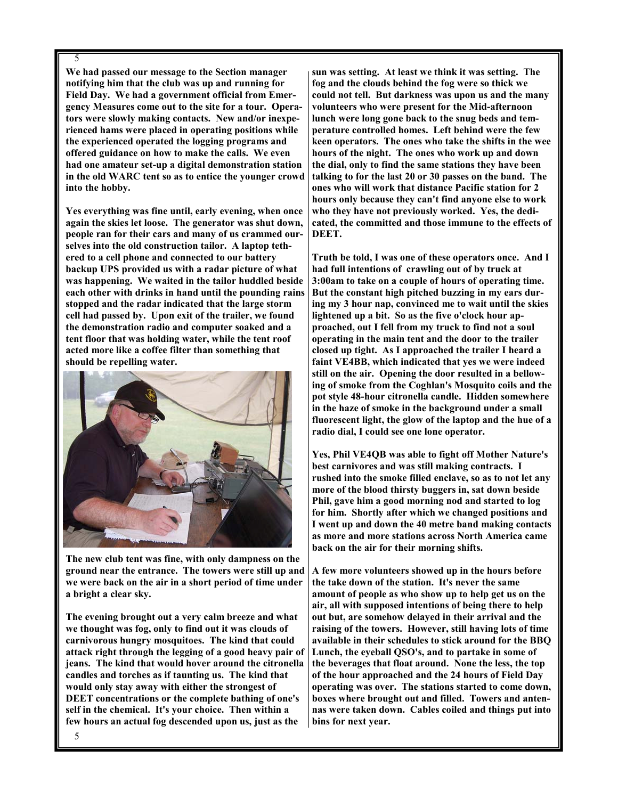#### 5

We had passed our message to the Section manager notifying him that the club was up and running for Field Day. We had a government official from Emergency Measures come out to the site for a tour. Operators were slowly making contacts. New and/or inexperienced hams were placed in operating positions while the experienced operated the logging programs and offered guidance on how to make the calls. We even had one amateur set-up a digital demonstration station in the old WARC tent so as to entice the younger crowd into the hobby.

Yes everything was fine until, early evening, when once again the skies let loose. The generator was shut down, people ran for their cars and many of us crammed ourselves into the old construction tailor. A laptop tethered to a cell phone and connected to our battery backup UPS provided us with a radar picture of what was happening. We waited in the tailor huddled beside each other with drinks in hand until the pounding rains stopped and the radar indicated that the large storm cell had passed by. Upon exit of the trailer, we found the demonstration radio and computer soaked and a tent floor that was holding water, while the tent roof acted more like a coffee filter than something that should be repelling water.



The new club tent was fine, with only dampness on the ground near the entrance. The towers were still up and we were back on the air in a short period of time under a bright a clear sky.

The evening brought out a very calm breeze and what we thought was fog, only to find out it was clouds of carnivorous hungry mosquitoes. The kind that could attack right through the legging of a good heavy pair of jeans. The kind that would hover around the citronella candles and torches as if taunting us. The kind that would only stay away with either the strongest of DEET concentrations or the complete bathing of one's self in the chemical. It's your choice. Then within a few hours an actual fog descended upon us, just as the

sun was setting. At least we think it was setting. The fog and the clouds behind the fog were so thick we could not tell. But darkness was upon us and the many volunteers who were present for the Mid-afternoon lunch were long gone back to the snug beds and temperature controlled homes. Left behind were the few keen operators. The ones who take the shifts in the wee hours of the night. The ones who work up and down the dial, only to find the same stations they have been talking to for the last 20 or 30 passes on the band. The ones who will work that distance Pacific station for 2 hours only because they can't find anyone else to work who they have not previously worked. Yes, the dedicated, the committed and those immune to the effects of DEET.

Truth be told, I was one of these operators once. And I had full intentions of crawling out of by truck at 3:00am to take on a couple of hours of operating time. But the constant high pitched buzzing in my ears during my 3 hour nap, convinced me to wait until the skies lightened up a bit. So as the five o'clock hour approached, out I fell from my truck to find not a soul operating in the main tent and the door to the trailer closed up tight. As I approached the trailer I heard a faint VE4BB, which indicated that yes we were indeed still on the air. Opening the door resulted in a bellowing of smoke from the Coghlan's Mosquito coils and the pot style 48-hour citronella candle. Hidden somewhere in the haze of smoke in the background under a small fluorescent light, the glow of the laptop and the hue of a radio dial, I could see one lone operator.

Yes, Phil VE4QB was able to fight off Mother Nature's best carnivores and was still making contracts. I rushed into the smoke filled enclave, so as to not let any more of the blood thirsty buggers in, sat down beside Phil, gave him a good morning nod and started to log for him. Shortly after which we changed positions and I went up and down the 40 metre band making contacts as more and more stations across North America came back on the air for their morning shifts.

A few more volunteers showed up in the hours before the take down of the station. It's never the same amount of people as who show up to help get us on the air, all with supposed intentions of being there to help out but, are somehow delayed in their arrival and the raising of the towers. However, still having lots of time available in their schedules to stick around for the BBQ Lunch, the eyeball QSO's, and to partake in some of the beverages that float around. None the less, the top of the hour approached and the 24 hours of Field Day operating was over. The stations started to come down, boxes where brought out and filled. Towers and antennas were taken down. Cables coiled and things put into bins for next year.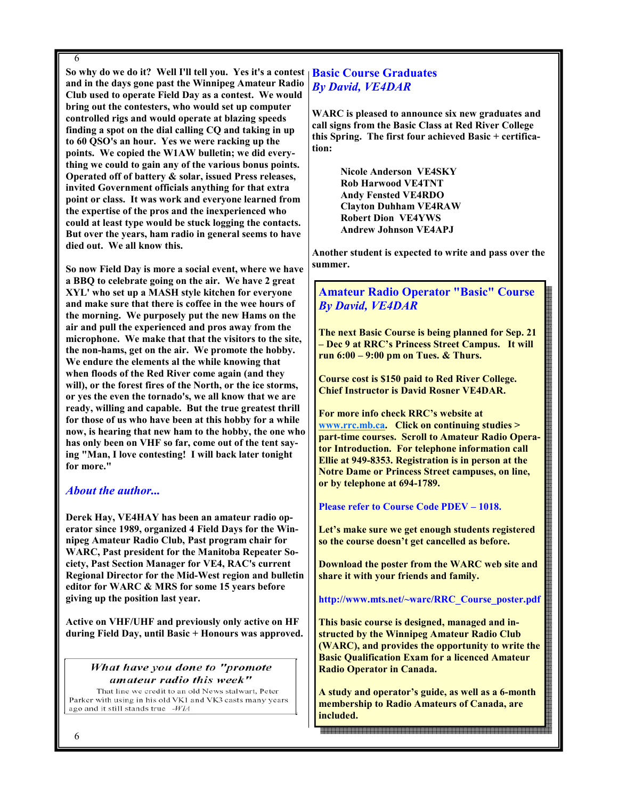6

So why do we do it? Well I'll tell you. Yes it's a contest and in the days gone past the Winnipeg Amateur Radio Club used to operate Field Day as a contest. We would bring out the contesters, who would set up computer controlled rigs and would operate at blazing speeds finding a spot on the dial calling CQ and taking in up to 60 QSO's an hour. Yes we were racking up the points. We copied the W1AW bulletin; we did everything we could to gain any of the various bonus points. Operated off of battery & solar, issued Press releases, invited Government officials anything for that extra point or class. It was work and everyone learned from the expertise of the pros and the inexperienced who could at least type would be stuck logging the contacts. But over the years, ham radio in general seems to have died out. We all know this.

So now Field Day is more a social event, where we have a BBQ to celebrate going on the air. We have 2 great XYL' who set up a MASH style kitchen for everyone and make sure that there is coffee in the wee hours of the morning. We purposely put the new Hams on the air and pull the experienced and pros away from the microphone. We make that that the visitors to the site, the non-hams, get on the air. We promote the hobby. We endure the elements al the while knowing that when floods of the Red River come again (and they will), or the forest fires of the North, or the ice storms, or yes the even the tornado's, we all know that we are ready, willing and capable. But the true greatest thrill for those of us who have been at this hobby for a while now, is hearing that new ham to the hobby, the one who has only been on VHF so far, come out of the tent saying "Man, I love contesting! I will back later tonight for more."

#### About the author...

Derek Hay, VE4HAY has been an amateur radio operator since 1989, organized 4 Field Days for the Winnipeg Amateur Radio Club, Past program chair for WARC, Past president for the Manitoba Repeater Society, Past Section Manager for VE4, RAC's current Regional Director for the Mid-West region and bulletin editor for WARC & MRS for some 15 years before giving up the position last year.

Active on VHF/UHF and previously only active on HF during Field Day, until Basic + Honours was approved.

#### What have you done to "promote amateur radio this week"

That line we credit to an old News stalwart. Peter Parker with using in his old VK1 and VK3 casts many years ago and it still stands true -WIA

## Basic Course Graduates By David, VE4DAR

WARC is pleased to announce six new graduates and call signs from the Basic Class at Red River College this Spring. The first four achieved Basic + certification:

> Nicole Anderson VE4SKY Rob Harwood VE4TNT Andy Fensted VE4RDO Clayton Duhham VE4RAW Robert Dion VE4YWS Andrew Johnson VE4APJ

Another student is expected to write and pass over the summer.

#### Amateur Radio Operator "Basic" Course By David, VE4DAR

The next Basic Course is being planned for Sep. 21 – Dec 9 at RRC's Princess Street Campus. It will run 6:00 – 9:00 pm on Tues. & Thurs.

Course cost is \$150 paid to Red River College. Chief Instructor is David Rosner VE4DAR.

For more info check RRC's website at www.rrc.mb.ca. Click on continuing studies > part-time courses. Scroll to Amateur Radio Operator Introduction. For telephone information call Ellie at 949-8353. Registration is in person at the Notre Dame or Princess Street campuses, on line, or by telephone at 694-1789.

Please refer to Course Code PDEV – 1018.

Let's make sure we get enough students registered so the course doesn't get cancelled as before.

Download the poster from the WARC web site and share it with your friends and family.

#### http://www.mts.net/~warc/RRC\_Course\_poster.pdf

This basic course is designed, managed and instructed by the Winnipeg Amateur Radio Club (WARC), and provides the opportunity to write the Basic Qualification Exam for a licenced Amateur Radio Operator in Canada.

A study and operator's guide, as well as a 6-month membership to Radio Amateurs of Canada, are included.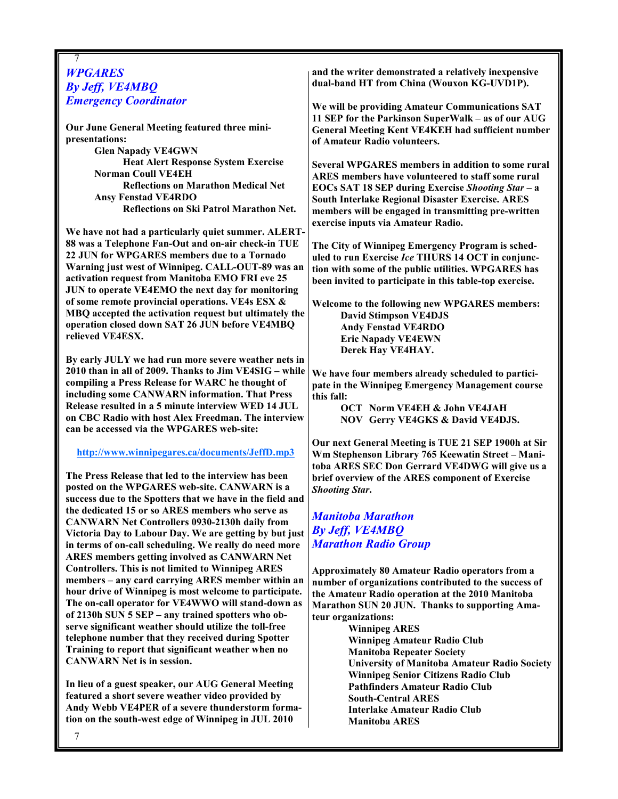#### 7 **WPGARES** By Jeff, VE4MBQ Emergency Coordinator

Our June General Meeting featured three minipresentations:

 Glen Napady VE4GWN Heat Alert Response System Exercise Norman Coull VE4EH Reflections on Marathon Medical Net Ansy Fenstad VE4RDO Reflections on Ski Patrol Marathon Net.

We have not had a particularly quiet summer. ALERT-88 was a Telephone Fan-Out and on-air check-in TUE 22 JUN for WPGARES members due to a Tornado Warning just west of Winnipeg. CALL-OUT-89 was an activation request from Manitoba EMO FRI eve 25 JUN to operate VE4EMO the next day for monitoring of some remote provincial operations. VE4s ESX & MBQ accepted the activation request but ultimately the operation closed down SAT 26 JUN before VE4MBQ relieved VE4ESX.

By early JULY we had run more severe weather nets in 2010 than in all of 2009. Thanks to Jim VE4SIG – while compiling a Press Release for WARC he thought of including some CANWARN information. That Press Release resulted in a 5 minute interview WED 14 JUL on CBC Radio with host Alex Freedman. The interview can be accessed via the WPGARES web-site:

http://www.winnipegares.ca/documents/JeffD.mp3

The Press Release that led to the interview has been posted on the WPGARES web-site. CANWARN is a success due to the Spotters that we have in the field and the dedicated 15 or so ARES members who serve as CANWARN Net Controllers 0930-2130h daily from Victoria Day to Labour Day. We are getting by but just in terms of on-call scheduling. We really do need more ARES members getting involved as CANWARN Net Controllers. This is not limited to Winnipeg ARES members – any card carrying ARES member within an hour drive of Winnipeg is most welcome to participate. The on-call operator for VE4WWO will stand-down as of 2130h SUN 5 SEP – any trained spotters who observe significant weather should utilize the toll-free telephone number that they received during Spotter Training to report that significant weather when no CANWARN Net is in session.

In lieu of a guest speaker, our AUG General Meeting featured a short severe weather video provided by Andy Webb VE4PER of a severe thunderstorm formation on the south-west edge of Winnipeg in JUL 2010

and the writer demonstrated a relatively inexpensive dual-band HT from China (Wouxon KG-UVD1P).

We will be providing Amateur Communications SAT 11 SEP for the Parkinson SuperWalk – as of our AUG General Meeting Kent VE4KEH had sufficient number of Amateur Radio volunteers.

Several WPGARES members in addition to some rural ARES members have volunteered to staff some rural EOCs SAT 18 SEP during Exercise Shooting Star – a South Interlake Regional Disaster Exercise. ARES members will be engaged in transmitting pre-written exercise inputs via Amateur Radio.

The City of Winnipeg Emergency Program is scheduled to run Exercise Ice THURS 14 OCT in conjunction with some of the public utilities. WPGARES has been invited to participate in this table-top exercise.

Welcome to the following new WPGARES members: David Stimpson VE4DJS Andy Fenstad VE4RDO Eric Napady VE4EWN Derek Hay VE4HAY.

We have four members already scheduled to participate in the Winnipeg Emergency Management course this fall:

 OCT Norm VE4EH & John VE4JAH NOV Gerry VE4GKS & David VE4DJS.

Our next General Meeting is TUE 21 SEP 1900h at Sir Wm Stephenson Library 765 Keewatin Street – Manitoba ARES SEC Don Gerrard VE4DWG will give us a brief overview of the ARES component of Exercise Shooting Star.

Manitoba Marathon By Jeff, VE4MBQ Marathon Radio Group

Approximately 80 Amateur Radio operators from a number of organizations contributed to the success of the Amateur Radio operation at the 2010 Manitoba Marathon SUN 20 JUN. Thanks to supporting Amateur organizations:

Winnipeg ARES Winnipeg Amateur Radio Club Manitoba Repeater Society University of Manitoba Amateur Radio Society Winnipeg Senior Citizens Radio Club Pathfinders Amateur Radio Club South-Central ARES Interlake Amateur Radio Club Manitoba ARES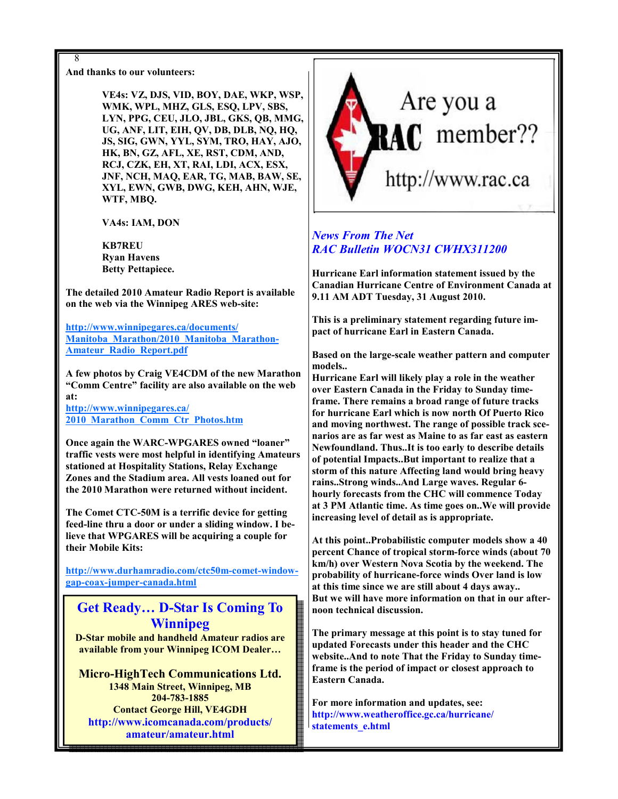#### And thanks to our volunteers:

8

VE4s: VZ, DJS, VID, BOY, DAE, WKP, WSP, WMK, WPL, MHZ, GLS, ESQ, LPV, SBS, LYN, PPG, CEU, JLO, JBL, GKS, QB, MMG, UG, ANF, LIT, EIH, QV, DB, DLB, NQ, HQ, JS, SIG, GWN, YYL, SYM, TRO, HAY, AJO, HK, BN, GZ, AFL, XE, RST, CDM, AND, RCJ, CZK, EH, XT, RAI, LDI, ACX, ESX, JNF, NCH, MAQ, EAR, TG, MAB, BAW, SE, XYL, EWN, GWB, DWG, KEH, AHN, WJE, WTF, MBQ.

VA4s: IAM, DON

KB7REU Ryan Havens Betty Pettapiece.

The detailed 2010 Amateur Radio Report is available on the web via the Winnipeg ARES web-site:

http://www.winnipegares.ca/documents/ Manitoba\_Marathon/2010\_Manitoba\_Marathon-Amateur\_Radio\_Report.pdf

A few photos by Craig VE4CDM of the new Marathon "Comm Centre" facility are also available on the web at:

http://www.winnipegares.ca/ 2010\_Marathon\_Comm\_Ctr\_Photos.htm

Once again the WARC-WPGARES owned "loaner" traffic vests were most helpful in identifying Amateurs stationed at Hospitality Stations, Relay Exchange Zones and the Stadium area. All vests loaned out for the 2010 Marathon were returned without incident.

The Comet CTC-50M is a terrific device for getting feed-line thru a door or under a sliding window. I believe that WPGARES will be acquiring a couple for their Mobile Kits:

http://www.durhamradio.com/ctc50m-comet-windowgap-coax-jumper-canada.html

## Get Ready… D-Star Is Coming To Winnipeg

D-Star mobile and handheld Amateur radios are available from your Winnipeg ICOM Dealer…

Micro-HighTech Communications Ltd. 1348 Main Street, Winnipeg, MB 204-783-1885 Contact George Hill, VE4GDH http://www.icomcanada.com/products/ amateur/amateur.html



## News From The Net RAC Bulletin WOCN31 CWHX311200

Hurricane Earl information statement issued by the Canadian Hurricane Centre of Environment Canada at 9.11 AM ADT Tuesday, 31 August 2010.

This is a preliminary statement regarding future impact of hurricane Earl in Eastern Canada.

Based on the large-scale weather pattern and computer models..

Hurricane Earl will likely play a role in the weather over Eastern Canada in the Friday to Sunday timeframe. There remains a broad range of future tracks for hurricane Earl which is now north Of Puerto Rico and moving northwest. The range of possible track scenarios are as far west as Maine to as far east as eastern Newfoundland. Thus..It is too early to describe details of potential Impacts..But important to realize that a storm of this nature Affecting land would bring heavy rains..Strong winds..And Large waves. Regular 6 hourly forecasts from the CHC will commence Today at 3 PM Atlantic time. As time goes on..We will provide increasing level of detail as is appropriate.

At this point..Probabilistic computer models show a 40 percent Chance of tropical storm-force winds (about 70 km/h) over Western Nova Scotia by the weekend. The probability of hurricane-force winds Over land is low at this time since we are still about 4 days away.. But we will have more information on that in our afternoon technical discussion.

The primary message at this point is to stay tuned for updated Forecasts under this header and the CHC website..And to note That the Friday to Sunday timeframe is the period of impact or closest approach to Eastern Canada.

For more information and updates, see: http://www.weatheroffice.gc.ca/hurricane/ statements e.html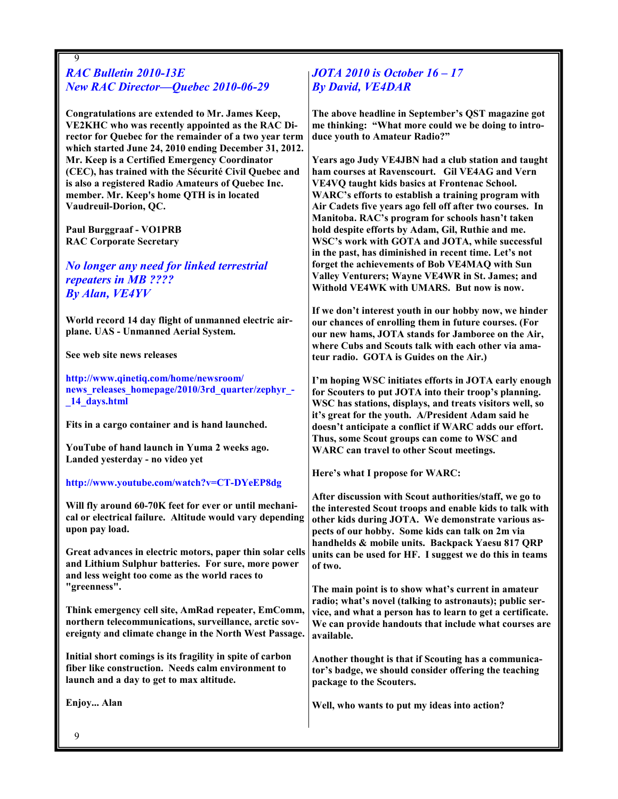#### 9 RAC Bulletin 2010-13E New RAC Director—Quebec 2010-06-29

Congratulations are extended to Mr. James Keep, VE2KHC who was recently appointed as the RAC Director for Quebec for the remainder of a two year term which started June 24, 2010 ending December 31, 2012. Mr. Keep is a Certified Emergency Coordinator (CEC), has trained with the Sécurité Civil Quebec and is also a registered Radio Amateurs of Quebec Inc. member. Mr. Keep's home QTH is in located Vaudreuil-Dorion, QC.

Paul Burggraaf - VO1PRB RAC Corporate Secretary

No longer any need for linked terrestrial repeaters in MB ???? By Alan, VE4YV

World record 14 day flight of unmanned electric airplane. UAS - Unmanned Aerial System.

See web site news releases

http://www.qinetiq.com/home/newsroom/ news releases homepage/2010/3rd quarter/zephyr -\_14\_days.html

Fits in a cargo container and is hand launched.

YouTube of hand launch in Yuma 2 weeks ago. Landed yesterday - no video yet

http://www.youtube.com/watch?v=CT-DYeEP8dg

Will fly around 60-70K feet for ever or until mechanical or electrical failure. Altitude would vary depending upon pay load.

Great advances in electric motors, paper thin solar cells and Lithium Sulphur batteries. For sure, more power and less weight too come as the world races to "greenness".

Think emergency cell site, AmRad repeater, EmComm, northern telecommunications, surveillance, arctic sovereignty and climate change in the North West Passage.

Initial short comings is its fragility in spite of carbon fiber like construction. Needs calm environment to launch and a day to get to max altitude.

Enjoy... Alan

## JOTA 2010 is October 16 – 17 By David, VE4DAR

The above headline in September's QST magazine got me thinking: "What more could we be doing to introduce youth to Amateur Radio?"

Years ago Judy VE4JBN had a club station and taught ham courses at Ravenscourt. Gil VE4AG and Vern VE4VQ taught kids basics at Frontenac School. WARC's efforts to establish a training program with Air Cadets five years ago fell off after two courses. In Manitoba. RAC's program for schools hasn't taken hold despite efforts by Adam, Gil, Ruthie and me. WSC's work with GOTA and JOTA, while successful in the past, has diminished in recent time. Let's not forget the achievements of Bob VE4MAQ with Sun Valley Venturers; Wayne VE4WR in St. James; and Withold VE4WK with UMARS. But now is now.

If we don't interest youth in our hobby now, we hinder our chances of enrolling them in future courses. (For our new hams, JOTA stands for Jamboree on the Air, where Cubs and Scouts talk with each other via amateur radio. GOTA is Guides on the Air.)

I'm hoping WSC initiates efforts in JOTA early enough for Scouters to put JOTA into their troop's planning. WSC has stations, displays, and treats visitors well, so it's great for the youth. A/President Adam said he doesn't anticipate a conflict if WARC adds our effort. Thus, some Scout groups can come to WSC and WARC can travel to other Scout meetings.

Here's what I propose for WARC:

After discussion with Scout authorities/staff, we go to the interested Scout troops and enable kids to talk with other kids during JOTA. We demonstrate various aspects of our hobby. Some kids can talk on 2m via handhelds & mobile units. Backpack Yaesu 817 QRP units can be used for HF. I suggest we do this in teams of two.

The main point is to show what's current in amateur radio; what's novel (talking to astronauts); public service, and what a person has to learn to get a certificate. We can provide handouts that include what courses are available.

Another thought is that if Scouting has a communicator's badge, we should consider offering the teaching package to the Scouters.

Well, who wants to put my ideas into action?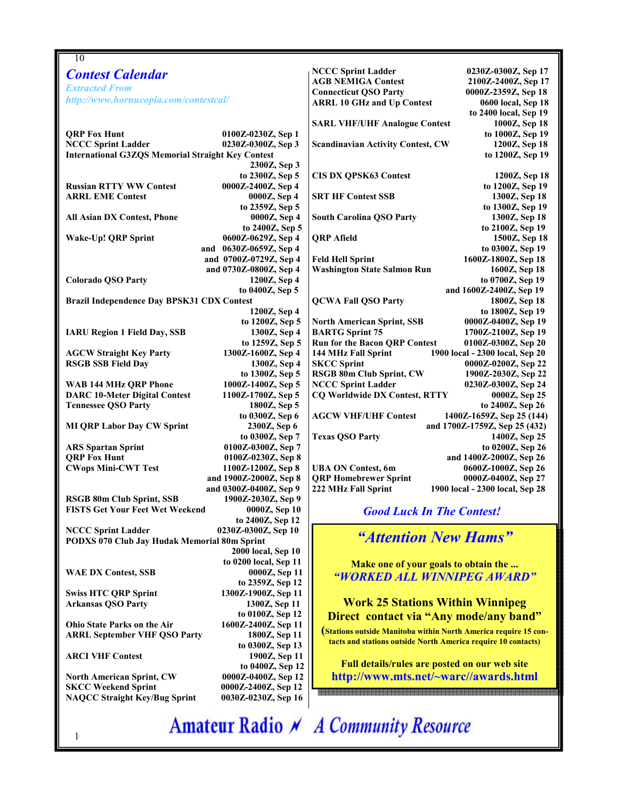| 10                                                                          |                                                                      |  |  |  |  |
|-----------------------------------------------------------------------------|----------------------------------------------------------------------|--|--|--|--|
| <b>Contest Calendar</b>                                                     | <b>NCCC Sprint Ladder</b><br>0230Z-0300Z, Sep 17                     |  |  |  |  |
| <b>Extracted From</b>                                                       | <b>AGB NEMIGA Contest</b><br>2100Z-2400Z, Sep 17                     |  |  |  |  |
|                                                                             | <b>Connecticut QSO Party</b><br>0000Z-2359Z, Sep 18                  |  |  |  |  |
| http://www.hornucopia.com/contestcal/                                       | <b>ARRL 10 GHz and Up Contest</b><br>0600 local, Sep 18              |  |  |  |  |
|                                                                             | to 2400 local, Sep 19                                                |  |  |  |  |
|                                                                             | <b>SARL VHF/UHF Analogue Contest</b><br>1000Z, Sep 18                |  |  |  |  |
| <b>QRP Fox Hunt</b><br>0100Z-0230Z, Sep 1                                   | to 1000Z, Sep 19                                                     |  |  |  |  |
| <b>NCCC Sprint Ladder</b><br>0230Z-0300Z, Sep 3                             | 1200Z, Sep 18<br><b>Scandinavian Activity Contest, CW</b>            |  |  |  |  |
| <b>International G3ZQS Memorial Straight Key Contest</b>                    | to 1200Z, Sep 19                                                     |  |  |  |  |
| 2300Z, Sep 3                                                                |                                                                      |  |  |  |  |
| to 2300Z, Sep 5                                                             | <b>CIS DX QPSK63 Contest</b><br>1200Z, Sep 18                        |  |  |  |  |
| <b>Russian RTTY WW Contest</b><br>0000Z-2400Z, Sep 4                        | to 1200Z, Sep 19                                                     |  |  |  |  |
| <b>ARRL EME Contest</b><br>0000Z, Sep 4                                     | <b>SRT HF Contest SSB</b><br>1300Z, Sep 18                           |  |  |  |  |
| to 2359Z, Sep 5                                                             | to 1300Z, Sep 19                                                     |  |  |  |  |
| 0000Z, Sep 4<br>All Asian DX Contest, Phone<br>to 2400Z, Sep 5              | <b>South Carolina QSO Party</b><br>1300Z, Sep 18<br>to 2100Z, Sep 19 |  |  |  |  |
| <b>Wake-Up! QRP Sprint</b><br>0600Z-0629Z, Sep 4                            | <b>QRP</b> Afield<br>1500Z, Sep 18                                   |  |  |  |  |
| and 0630Z-0659Z, Sep 4                                                      | to 0300Z, Sep 19                                                     |  |  |  |  |
| and 0700Z-0729Z, Sep 4                                                      | 1600Z-1800Z, Sep 18<br><b>Feld Hell Sprint</b>                       |  |  |  |  |
| and 0730Z-0800Z, Sep 4                                                      | <b>Washington State Salmon Run</b><br>1600Z, Sep 18                  |  |  |  |  |
| <b>Colorado QSO Party</b><br>1200Z, Sep 4                                   | to 0700Z, Sep 19                                                     |  |  |  |  |
| to 0400Z, Sep 5                                                             | and 1600Z-2400Z, Sep 19                                              |  |  |  |  |
| Brazil Independence Day BPSK31 CDX Contest                                  | <b>QCWA Fall QSO Party</b><br>1800Z, Sep 18                          |  |  |  |  |
| 1200Z, Sep 4                                                                | to 1800Z, Sep 19                                                     |  |  |  |  |
| to 1200Z, Sep 5                                                             | 0000Z-0400Z, Sep 19<br><b>North American Sprint, SSB</b>             |  |  |  |  |
| <b>IARU Region 1 Field Day, SSB</b><br>1300Z, Sep 4                         | <b>BARTG Sprint 75</b><br>1700Z-2100Z, Sep 19                        |  |  |  |  |
| to 1259Z, Sep 5                                                             | <b>Run for the Bacon QRP Contest</b><br>0100Z-0300Z, Sep 20          |  |  |  |  |
| <b>AGCW Straight Key Party</b><br>1300Z-1600Z, Sep 4                        | 1900 local - 2300 local, Sep 20<br>144 MHz Fall Sprint               |  |  |  |  |
| <b>RSGB SSB Field Day</b><br>1300Z, Sep 4                                   | <b>SKCC Sprint</b><br>0000Z-0200Z, Sep 22                            |  |  |  |  |
| to 1300Z, Sep 5                                                             | RSGB 80m Club Sprint, CW<br>1900Z-2030Z, Sep 22                      |  |  |  |  |
| 1000Z-1400Z, Sep 5<br>WAB 144 MHz QRP Phone                                 | <b>NCCC Sprint Ladder</b><br>0230Z-0300Z, Sep 24                     |  |  |  |  |
| <b>DARC 10-Meter Digital Contest</b><br>1100Z-1700Z, Sep 5                  | <b>CQ Worldwide DX Contest, RTTY</b><br>0000Z, Sep 25                |  |  |  |  |
| <b>Tennessee QSO Party</b><br>1800Z, Sep 5                                  | to 2400Z, Sep 26                                                     |  |  |  |  |
| to 0300Z, Sep 6                                                             | <b>AGCW VHF/UHF Contest</b><br>1400Z-1659Z, Sep 25 (144)             |  |  |  |  |
| <b>MI QRP Labor Day CW Sprint</b><br>2300Z, Sep 6                           | and 1700Z-1759Z, Sep 25 (432)                                        |  |  |  |  |
| to 0300Z, Sep 7                                                             | <b>Texas QSO Party</b><br>1400Z, Sep 25                              |  |  |  |  |
| 0100Z-0300Z, Sep 7<br><b>ARS Spartan Sprint</b>                             | to 0200Z, Sep 26                                                     |  |  |  |  |
| <b>QRP Fox Hunt</b><br>0100Z-0230Z, Sep 8                                   | and 1400Z-2000Z, Sep 26                                              |  |  |  |  |
| <b>CWops Mini-CWT Test</b><br>1100Z-1200Z, Sep 8                            | <b>UBA ON Contest, 6m</b><br>0600Z-1000Z, Sep 26                     |  |  |  |  |
| and 1900Z-2000Z, Sep 8                                                      | <b>QRP Homebrewer Sprint</b><br>0000Z-0400Z, Sep 27                  |  |  |  |  |
| and 0300Z-0400Z, Sep 9                                                      | 222 MHz Fall Sprint<br>1900 local - 2300 local, Sep 28               |  |  |  |  |
| RSGB 80m Club Sprint, SSB<br>1900Z-2030Z, Sep 9                             |                                                                      |  |  |  |  |
| <b>FISTS Get Your Feet Wet Weekend</b><br>0000Z, Sep 10<br>to 2400Z, Sep 12 | <b>Good Luck In The Contest!</b>                                     |  |  |  |  |
| <b>NCCC Sprint Ladder</b><br>0230Z-0300Z, Sep 10                            |                                                                      |  |  |  |  |
| PODXS 070 Club Jay Hudak Memorial 80m Sprint                                | "Attention New Hams"                                                 |  |  |  |  |
| 2000 local, Sep 10                                                          |                                                                      |  |  |  |  |
| to 0200 local, Sep 11                                                       | Make one of your goals to obtain the                                 |  |  |  |  |
| <b>WAE DX Contest, SSB</b><br>0000Z, Sep 11                                 |                                                                      |  |  |  |  |
| to 2359Z, Sep 12                                                            | "WORKED ALL WINNIPEG AWARD"                                          |  |  |  |  |
| <b>Swiss HTC QRP Sprint</b><br>1300Z-1900Z, Sep 11                          |                                                                      |  |  |  |  |
| 1300Z, Sep 11<br><b>Arkansas QSO Party</b>                                  | <b>Work 25 Stations Within Winnipeg</b>                              |  |  |  |  |
| to 0100Z, Sep 12                                                            | Direct contact via "Any mode/any band"                               |  |  |  |  |
| Ohio State Parks on the Air<br>1600Z-2400Z, Sep 11                          |                                                                      |  |  |  |  |
| <b>ARRL September VHF QSO Party</b><br>1800Z, Sep 11                        | (Stations outside Manitoba within North America require 15 con-      |  |  |  |  |
| to 0300Z, Sep 13                                                            | tacts and stations outside North America require 10 contacts)        |  |  |  |  |
| <b>ARCI VHF Contest</b><br>1900Z, Sep 11                                    |                                                                      |  |  |  |  |
| to 0400Z, Sep 12                                                            | Full details/rules are posted on our web site                        |  |  |  |  |
| 0000Z-0400Z, Sep 12<br><b>North American Sprint, CW</b>                     | http://www.mts.net/~warc//awards.html                                |  |  |  |  |
| <b>SKCC Weekend Sprint</b><br>0000Z-2400Z, Sep 12                           | 888888                                                               |  |  |  |  |
| <b>NAQCC Straight Key/Bug Sprint</b><br>0030Z-0230Z, Sep 16                 |                                                                      |  |  |  |  |
|                                                                             |                                                                      |  |  |  |  |
| <b>Amateur Radio A</b> A Community Resource                                 |                                                                      |  |  |  |  |
|                                                                             |                                                                      |  |  |  |  |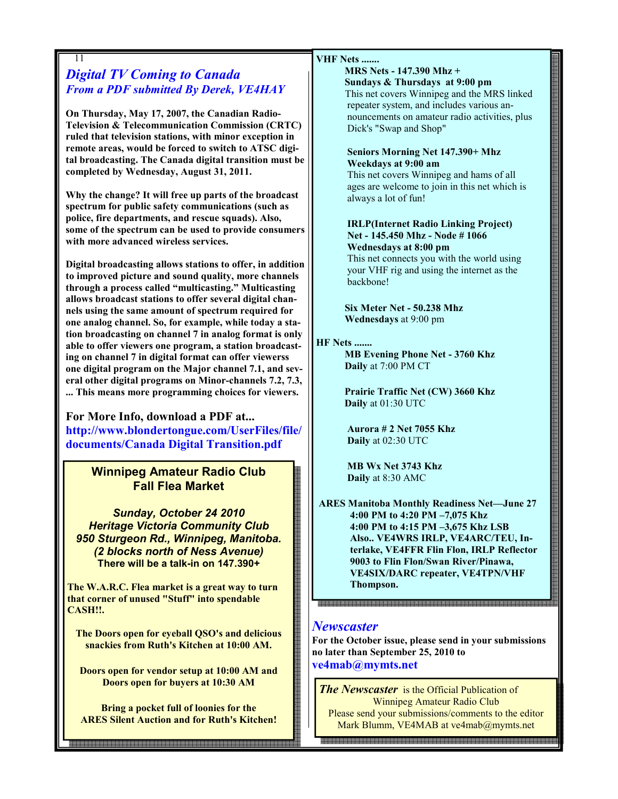### 11 Digital TV Coming to Canada From a PDF submitted By Derek, VE4HAY

On Thursday, May 17, 2007, the Canadian Radio-Television & Telecommunication Commission (CRTC) ruled that television stations, with minor exception in remote areas, would be forced to switch to ATSC digital broadcasting. The Canada digital transition must be completed by Wednesday, August 31, 2011.

Why the change? It will free up parts of the broadcast spectrum for public safety communications (such as police, fire departments, and rescue squads). Also, some of the spectrum can be used to provide consumers with more advanced wireless services.

Digital broadcasting allows stations to offer, in addition to improved picture and sound quality, more channels through a process called "multicasting." Multicasting allows broadcast stations to offer several digital channels using the same amount of spectrum required for one analog channel. So, for example, while today a station broadcasting on channel 7 in analog format is only able to offer viewers one program, a station broadcasting on channel 7 in digital format can offer viewerss one digital program on the Major channel 7.1, and several other digital programs on Minor-channels 7.2, 7.3, ... This means more programming choices for viewers.

For More Info, download a PDF at... http://www.blondertongue.com/UserFiles/file/ documents/Canada Digital Transition.pdf

## Winnipeg Amateur Radio Club Fall Flea Market

Sunday, October 24 2010 Heritage Victoria Community Club 950 Sturgeon Rd., Winnipeg, Manitoba. (2 blocks north of Ness Avenue) There will be a talk-in on 147.390+

The W.A.R.C. Flea market is a great way to turn that corner of unused "Stuff" into spendable CASH!!.

The Doors open for eyeball QSO's and delicious snackies from Ruth's Kitchen at 10:00 AM.

Doors open for vendor setup at 10:00 AM and Doors open for buyers at 10:30 AM

Bring a pocket full of loonies for the ARES Silent Auction and for Ruth's Kitchen!

11

#### VHF Nets .......

MRS Nets - 147.390 Mhz + Sundays & Thursdays at 9:00 pm This net covers Winnipeg and the MRS linked repeater system, and includes various announcements on amateur radio activities, plus Dick's "Swap and Shop"

#### Seniors Morning Net 147.390+ Mhz Weekdays at 9:00 am

This net covers Winnipeg and hams of all ages are welcome to join in this net which is always a lot of fun!

#### IRLP(Internet Radio Linking Project) Net - 145.450 Mhz - Node # 1066 Wednesdays at 8:00 pm

This net connects you with the world using your VHF rig and using the internet as the backbone!

 Six Meter Net - 50.238 Mhz Wednesdays at 9:00 pm

#### HF Nets .......

MB Evening Phone Net - 3760 Khz Daily at 7:00 PM CT

Prairie Traffic Net (CW) 3660 Khz Daily at 01:30 UTC

Aurora # 2 Net 7055 Khz Daily at 02:30 UTC

MB Wx Net 3743 Khz Daily at 8:30 AMC

ARES Manitoba Monthly Readiness Net—June 27 4:00 PM to 4:20 PM –7,075 Khz 4:00 PM to 4:15 PM –3,675 Khz LSB Also.. VE4WRS IRLP, VE4ARC/TEU, Interlake, VE4FFR Flin Flon, IRLP Reflector 9003 to Flin Flon/Swan River/Pinawa, VE4SIX/DARC repeater, VE4TPN/VHF Thompson.

## **Newscaster**

For the October issue, please send in your submissions no later than September 25, 2010 to ve4mab@mymts.net

**The Newscaster** is the Official Publication of Winnipeg Amateur Radio Club Please send your submissions/comments to the editor Mark Blumm, VE4MAB at ve4mab@mymts.net